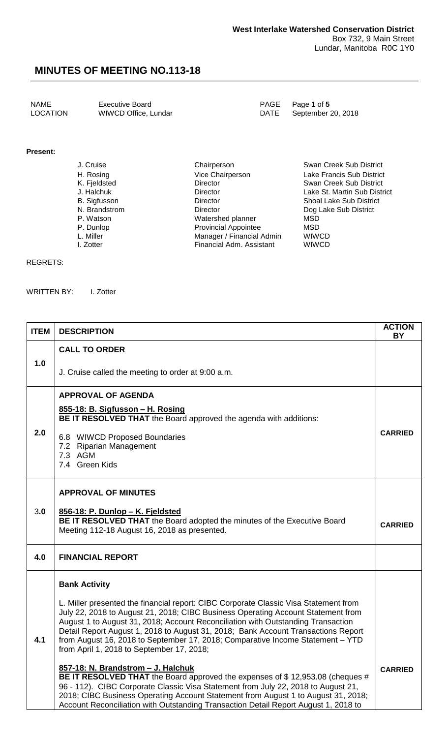NAME Executive Board<br>
LOCATION WIWCD Office, Lundar
PAGE Page 1 of 5<br>
DATE September 20, 2018

WIWCD Office, Lundar DATE

#### **Present:**

| J. Cruise     | Chairperson                 | Swan Creek Sub District        |
|---------------|-----------------------------|--------------------------------|
| H. Rosing     | Vice Chairperson            | Lake Francis Sub District      |
| K. Fjeldsted  | <b>Director</b>             | Swan Creek Sub District        |
| J. Halchuk    | Director                    | Lake St. Martin Sub District   |
| B. Sigfusson  | <b>Director</b>             | <b>Shoal Lake Sub District</b> |
| N. Brandstrom | <b>Director</b>             | Dog Lake Sub District          |
| P. Watson     | Watershed planner           | <b>MSD</b>                     |
| P. Dunlop     | <b>Provincial Appointee</b> | MSD                            |
| L. Miller     | Manager / Financial Admin   | <b>WIWCD</b>                   |
| I. Zotter     | Financial Adm. Assistant    | <b>WIWCD</b>                   |
|               |                             |                                |

#### REGRETS:

WRITTEN BY: I. Zotter

| <b>ITEM</b> | <b>DESCRIPTION</b>                                                                                                                                                                                                                                                                                                                                                                                                                                                               | <b>ACTION</b><br>BY |  |  |
|-------------|----------------------------------------------------------------------------------------------------------------------------------------------------------------------------------------------------------------------------------------------------------------------------------------------------------------------------------------------------------------------------------------------------------------------------------------------------------------------------------|---------------------|--|--|
|             | <b>CALL TO ORDER</b>                                                                                                                                                                                                                                                                                                                                                                                                                                                             |                     |  |  |
| 1.0         | J. Cruise called the meeting to order at 9:00 a.m.                                                                                                                                                                                                                                                                                                                                                                                                                               |                     |  |  |
|             | <b>APPROVAL OF AGENDA</b>                                                                                                                                                                                                                                                                                                                                                                                                                                                        |                     |  |  |
|             | 855-18: B. Sigfusson - H. Rosing<br><b>BE IT RESOLVED THAT</b> the Board approved the agenda with additions:                                                                                                                                                                                                                                                                                                                                                                     |                     |  |  |
| 2.0         | 6.8 WIWCD Proposed Boundaries<br>7.2 Riparian Management<br>7.3 AGM<br>7.4 Green Kids                                                                                                                                                                                                                                                                                                                                                                                            | <b>CARRIED</b>      |  |  |
|             | <b>APPROVAL OF MINUTES</b>                                                                                                                                                                                                                                                                                                                                                                                                                                                       |                     |  |  |
| 3.0         | 856-18: P. Dunlop - K. Fjeldsted<br>BE IT RESOLVED THAT the Board adopted the minutes of the Executive Board<br>Meeting 112-18 August 16, 2018 as presented.                                                                                                                                                                                                                                                                                                                     | <b>CARRIED</b>      |  |  |
| 4.0         | <b>FINANCIAL REPORT</b>                                                                                                                                                                                                                                                                                                                                                                                                                                                          |                     |  |  |
|             | <b>Bank Activity</b>                                                                                                                                                                                                                                                                                                                                                                                                                                                             |                     |  |  |
| 4.1         | L. Miller presented the financial report: CIBC Corporate Classic Visa Statement from<br>July 22, 2018 to August 21, 2018; CIBC Business Operating Account Statement from<br>August 1 to August 31, 2018; Account Reconciliation with Outstanding Transaction<br>Detail Report August 1, 2018 to August 31, 2018; Bank Account Transactions Report<br>from August 16, 2018 to September 17, 2018; Comparative Income Statement – YTD<br>from April 1, 2018 to September 17, 2018; |                     |  |  |
|             | 857-18: N. Brandstrom - J. Halchuk<br>BE IT RESOLVED THAT the Board approved the expenses of \$12,953.08 (cheques #<br>96 - 112). CIBC Corporate Classic Visa Statement from July 22, 2018 to August 21,<br>2018; CIBC Business Operating Account Statement from August 1 to August 31, 2018;<br>Account Reconciliation with Outstanding Transaction Detail Report August 1, 2018 to                                                                                             | <b>CARRIED</b>      |  |  |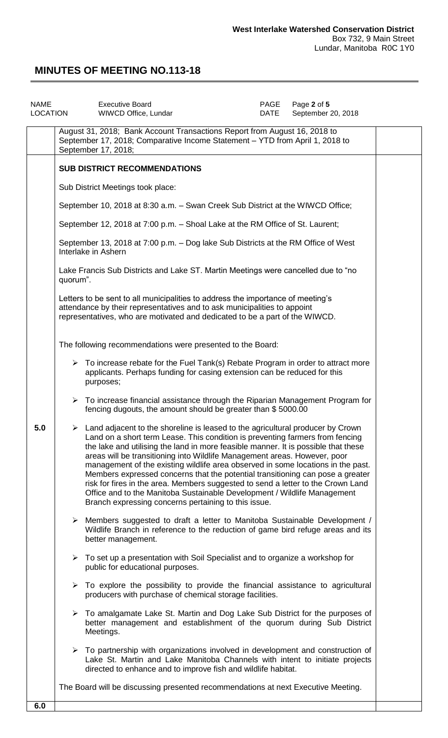| <b>NAME</b><br>LOCATION |                                                                                                                                                                                                                                            | <b>Executive Board</b><br>WIWCD Office, Lundar                                                                                                                                                                                                                                                                                                                                                                                                                                                                                                                                                                                                                                                                                                    | PAGE<br>DATE | Page 2 of 5<br>September 20, 2018 |  |
|-------------------------|--------------------------------------------------------------------------------------------------------------------------------------------------------------------------------------------------------------------------------------------|---------------------------------------------------------------------------------------------------------------------------------------------------------------------------------------------------------------------------------------------------------------------------------------------------------------------------------------------------------------------------------------------------------------------------------------------------------------------------------------------------------------------------------------------------------------------------------------------------------------------------------------------------------------------------------------------------------------------------------------------------|--------------|-----------------------------------|--|
|                         |                                                                                                                                                                                                                                            | August 31, 2018; Bank Account Transactions Report from August 16, 2018 to<br>September 17, 2018; Comparative Income Statement - YTD from April 1, 2018 to<br>September 17, 2018;                                                                                                                                                                                                                                                                                                                                                                                                                                                                                                                                                                  |              |                                   |  |
|                         | <b>SUB DISTRICT RECOMMENDATIONS</b>                                                                                                                                                                                                        |                                                                                                                                                                                                                                                                                                                                                                                                                                                                                                                                                                                                                                                                                                                                                   |              |                                   |  |
|                         |                                                                                                                                                                                                                                            | Sub District Meetings took place:                                                                                                                                                                                                                                                                                                                                                                                                                                                                                                                                                                                                                                                                                                                 |              |                                   |  |
|                         |                                                                                                                                                                                                                                            | September 10, 2018 at 8:30 a.m. - Swan Creek Sub District at the WIWCD Office;                                                                                                                                                                                                                                                                                                                                                                                                                                                                                                                                                                                                                                                                    |              |                                   |  |
|                         |                                                                                                                                                                                                                                            | September 12, 2018 at 7:00 p.m. - Shoal Lake at the RM Office of St. Laurent;                                                                                                                                                                                                                                                                                                                                                                                                                                                                                                                                                                                                                                                                     |              |                                   |  |
|                         | September 13, 2018 at 7:00 p.m. - Dog lake Sub Districts at the RM Office of West<br>Interlake in Ashern                                                                                                                                   |                                                                                                                                                                                                                                                                                                                                                                                                                                                                                                                                                                                                                                                                                                                                                   |              |                                   |  |
|                         | Lake Francis Sub Districts and Lake ST. Martin Meetings were cancelled due to "no<br>quorum".                                                                                                                                              |                                                                                                                                                                                                                                                                                                                                                                                                                                                                                                                                                                                                                                                                                                                                                   |              |                                   |  |
|                         | Letters to be sent to all municipalities to address the importance of meeting's<br>attendance by their representatives and to ask municipalities to appoint<br>representatives, who are motivated and dedicated to be a part of the WIWCD. |                                                                                                                                                                                                                                                                                                                                                                                                                                                                                                                                                                                                                                                                                                                                                   |              |                                   |  |
|                         |                                                                                                                                                                                                                                            | The following recommendations were presented to the Board:                                                                                                                                                                                                                                                                                                                                                                                                                                                                                                                                                                                                                                                                                        |              |                                   |  |
|                         |                                                                                                                                                                                                                                            | $\triangleright$ To increase rebate for the Fuel Tank(s) Rebate Program in order to attract more<br>applicants. Perhaps funding for casing extension can be reduced for this<br>purposes;                                                                                                                                                                                                                                                                                                                                                                                                                                                                                                                                                         |              |                                   |  |
|                         |                                                                                                                                                                                                                                            | $\triangleright$ To increase financial assistance through the Riparian Management Program for<br>fencing dugouts, the amount should be greater than \$5000.00                                                                                                                                                                                                                                                                                                                                                                                                                                                                                                                                                                                     |              |                                   |  |
| 5.0                     |                                                                                                                                                                                                                                            | $\triangleright$ Land adjacent to the shoreline is leased to the agricultural producer by Crown<br>Land on a short term Lease. This condition is preventing farmers from fencing<br>the lake and utilising the land in more feasible manner. It is possible that these<br>areas will be transitioning into Wildlife Management areas. However, poor<br>management of the existing wildlife area observed in some locations in the past.<br>Members expressed concerns that the potential transitioning can pose a greater<br>risk for fires in the area. Members suggested to send a letter to the Crown Land<br>Office and to the Manitoba Sustainable Development / Wildlife Management<br>Branch expressing concerns pertaining to this issue. |              |                                   |  |
|                         |                                                                                                                                                                                                                                            | $\triangleright$ Members suggested to draft a letter to Manitoba Sustainable Development /<br>Wildlife Branch in reference to the reduction of game bird refuge areas and its<br>better management.                                                                                                                                                                                                                                                                                                                                                                                                                                                                                                                                               |              |                                   |  |
|                         |                                                                                                                                                                                                                                            | $\triangleright$ To set up a presentation with Soil Specialist and to organize a workshop for<br>public for educational purposes.                                                                                                                                                                                                                                                                                                                                                                                                                                                                                                                                                                                                                 |              |                                   |  |
|                         |                                                                                                                                                                                                                                            | $\triangleright$ To explore the possibility to provide the financial assistance to agricultural<br>producers with purchase of chemical storage facilities.                                                                                                                                                                                                                                                                                                                                                                                                                                                                                                                                                                                        |              |                                   |  |
|                         |                                                                                                                                                                                                                                            | $\triangleright$ To amalgamate Lake St. Martin and Dog Lake Sub District for the purposes of<br>better management and establishment of the quorum during Sub District<br>Meetings.                                                                                                                                                                                                                                                                                                                                                                                                                                                                                                                                                                |              |                                   |  |
|                         |                                                                                                                                                                                                                                            | $\triangleright$ To partnership with organizations involved in development and construction of<br>Lake St. Martin and Lake Manitoba Channels with intent to initiate projects<br>directed to enhance and to improve fish and wildlife habitat.                                                                                                                                                                                                                                                                                                                                                                                                                                                                                                    |              |                                   |  |
|                         |                                                                                                                                                                                                                                            | The Board will be discussing presented recommendations at next Executive Meeting.                                                                                                                                                                                                                                                                                                                                                                                                                                                                                                                                                                                                                                                                 |              |                                   |  |
| 6.0                     |                                                                                                                                                                                                                                            |                                                                                                                                                                                                                                                                                                                                                                                                                                                                                                                                                                                                                                                                                                                                                   |              |                                   |  |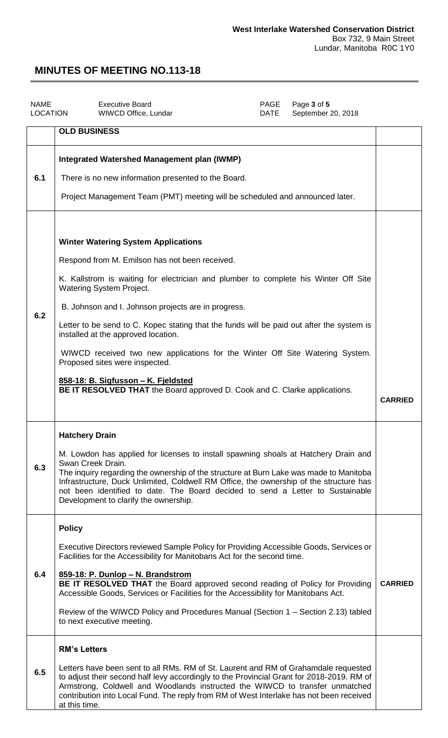| <b>NAME</b><br><b>LOCATION</b> | <b>Executive Board</b><br>WIWCD Office, Lundar                                                                                                                                                                                                                                                                                                                                                                                                                                                                                                                                                                                                           | PAGE<br>DATE | Page 3 of 5<br>September 20, 2018 |                |
|--------------------------------|----------------------------------------------------------------------------------------------------------------------------------------------------------------------------------------------------------------------------------------------------------------------------------------------------------------------------------------------------------------------------------------------------------------------------------------------------------------------------------------------------------------------------------------------------------------------------------------------------------------------------------------------------------|--------------|-----------------------------------|----------------|
|                                | <b>OLD BUSINESS</b>                                                                                                                                                                                                                                                                                                                                                                                                                                                                                                                                                                                                                                      |              |                                   |                |
| 6.1                            | Integrated Watershed Management plan (IWMP)<br>There is no new information presented to the Board.<br>Project Management Team (PMT) meeting will be scheduled and announced later.                                                                                                                                                                                                                                                                                                                                                                                                                                                                       |              |                                   |                |
| 6.2                            | <b>Winter Watering System Applications</b><br>Respond from M. Emilson has not been received.<br>K. Kallstrom is waiting for electrician and plumber to complete his Winter Off Site<br><b>Watering System Project.</b><br>B. Johnson and I. Johnson projects are in progress.<br>Letter to be send to C. Kopec stating that the funds will be paid out after the system is<br>installed at the approved location.<br>WIWCD received two new applications for the Winter Off Site Watering System.<br>Proposed sites were inspected.<br>858-18: B. Sigfusson - K. Fjeldsted<br>BE IT RESOLVED THAT the Board approved D. Cook and C. Clarke applications. |              |                                   | <b>CARRIED</b> |
| 6.3                            | <b>Hatchery Drain</b><br>M. Lowdon has applied for licenses to install spawning shoals at Hatchery Drain and<br>Swan Creek Drain.<br>The inquiry regarding the ownership of the structure at Burn Lake was made to Manitoba<br>Infrastructure, Duck Unlimited, Coldwell RM Office, the ownership of the structure has<br>not been identified to date. The Board decided to send a Letter to Sustainable<br>Development to clarify the ownership.                                                                                                                                                                                                         |              |                                   |                |
| 6.4                            | <b>Policy</b><br>Executive Directors reviewed Sample Policy for Providing Accessible Goods, Services or<br>Facilities for the Accessibility for Manitobans Act for the second time.<br>859-18: P. Dunlop - N. Brandstrom<br>BE IT RESOLVED THAT the Board approved second reading of Policy for Providing<br>Accessible Goods, Services or Facilities for the Accessibility for Manitobans Act.<br>Review of the WIWCD Policy and Procedures Manual (Section 1 – Section 2.13) tabled<br>to next executive meeting.                                                                                                                                      |              |                                   | <b>CARRIED</b> |
| 6.5                            | <b>RM's Letters</b><br>Letters have been sent to all RMs. RM of St. Laurent and RM of Grahamdale requested<br>to adjust their second half levy accordingly to the Provincial Grant for 2018-2019. RM of<br>Armstrong, Coldwell and Woodlands instructed the WIWCD to transfer unmatched<br>contribution into Local Fund. The reply from RM of West Interlake has not been received<br>at this time.                                                                                                                                                                                                                                                      |              |                                   |                |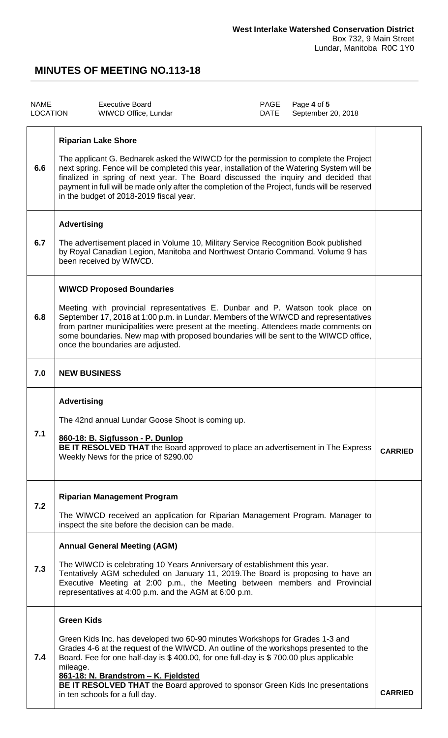| <b>NAME</b><br><b>LOCATION</b> |                                                                                                                                                                                                                                                                                                                                                                                                                                                     | <b>Executive Board</b><br>WIWCD Office, Lundar                                                                                                                                                                                                                                                                                                                                                                              | PAGE<br><b>DATE</b> | Page 4 of 5<br>September 20, 2018 |                |
|--------------------------------|-----------------------------------------------------------------------------------------------------------------------------------------------------------------------------------------------------------------------------------------------------------------------------------------------------------------------------------------------------------------------------------------------------------------------------------------------------|-----------------------------------------------------------------------------------------------------------------------------------------------------------------------------------------------------------------------------------------------------------------------------------------------------------------------------------------------------------------------------------------------------------------------------|---------------------|-----------------------------------|----------------|
| 6.6                            | <b>Riparian Lake Shore</b><br>The applicant G. Bednarek asked the WIWCD for the permission to complete the Project<br>next spring. Fence will be completed this year, installation of the Watering System will be<br>finalized in spring of next year. The Board discussed the inquiry and decided that<br>payment in full will be made only after the completion of the Project, funds will be reserved<br>in the budget of 2018-2019 fiscal year. |                                                                                                                                                                                                                                                                                                                                                                                                                             |                     |                                   |                |
| 6.7                            | <b>Advertising</b>                                                                                                                                                                                                                                                                                                                                                                                                                                  | The advertisement placed in Volume 10, Military Service Recognition Book published<br>by Royal Canadian Legion, Manitoba and Northwest Ontario Command. Volume 9 has<br>been received by WIWCD.                                                                                                                                                                                                                             |                     |                                   |                |
| 6.8                            |                                                                                                                                                                                                                                                                                                                                                                                                                                                     | <b>WIWCD Proposed Boundaries</b><br>Meeting with provincial representatives E. Dunbar and P. Watson took place on<br>September 17, 2018 at 1:00 p.m. in Lundar. Members of the WIWCD and representatives<br>from partner municipalities were present at the meeting. Attendees made comments on<br>some boundaries. New map with proposed boundaries will be sent to the WIWCD office,<br>once the boundaries are adjusted. |                     |                                   |                |
| 7.0                            | <b>NEW BUSINESS</b>                                                                                                                                                                                                                                                                                                                                                                                                                                 |                                                                                                                                                                                                                                                                                                                                                                                                                             |                     |                                   |                |
| 7.1                            | <b>Advertising</b>                                                                                                                                                                                                                                                                                                                                                                                                                                  | The 42nd annual Lundar Goose Shoot is coming up.<br>860-18: B. Sigfusson - P. Dunlop<br>BE IT RESOLVED THAT the Board approved to place an advertisement in The Express<br>Weekly News for the price of \$290.00                                                                                                                                                                                                            |                     |                                   | <b>CARRIED</b> |
| 7.2                            |                                                                                                                                                                                                                                                                                                                                                                                                                                                     | <b>Riparian Management Program</b><br>The WIWCD received an application for Riparian Management Program. Manager to<br>inspect the site before the decision can be made.                                                                                                                                                                                                                                                    |                     |                                   |                |
| 7.3                            |                                                                                                                                                                                                                                                                                                                                                                                                                                                     | <b>Annual General Meeting (AGM)</b><br>The WIWCD is celebrating 10 Years Anniversary of establishment this year.<br>Tentatively AGM scheduled on January 11, 2019. The Board is proposing to have an<br>Executive Meeting at 2:00 p.m., the Meeting between members and Provincial<br>representatives at 4:00 p.m. and the AGM at 6:00 p.m.                                                                                 |                     |                                   |                |
| 7.4                            | <b>Green Kids</b><br>mileage.                                                                                                                                                                                                                                                                                                                                                                                                                       | Green Kids Inc. has developed two 60-90 minutes Workshops for Grades 1-3 and<br>Grades 4-6 at the request of the WIWCD. An outline of the workshops presented to the<br>Board. Fee for one half-day is \$400.00, for one full-day is \$700.00 plus applicable<br>861-18: N. Brandstrom - K. Fjeldsted<br>BE IT RESOLVED THAT the Board approved to sponsor Green Kids Inc presentations<br>in ten schools for a full day.   |                     |                                   | <b>CARRIED</b> |